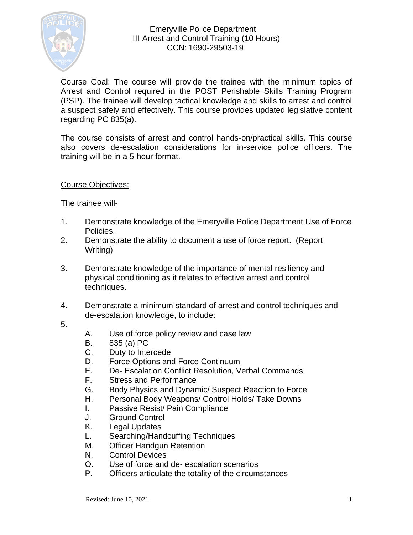

Course Goal: The course will provide the trainee with the minimum topics of Arrest and Control required in the POST Perishable Skills Training Program (PSP). The trainee will develop tactical knowledge and skills to arrest and control a suspect safely and effectively. This course provides updated legislative content regarding PC 835(a).

The course consists of arrest and control hands-on/practical skills. This course also covers de-escalation considerations for in-service police officers. The training will be in a 5-hour format.

Course Objectives:

The trainee will-

- 1. Demonstrate knowledge of the Emeryville Police Department Use of Force Policies.
- 2. Demonstrate the ability to document a use of force report. (Report Writing)
- 3. Demonstrate knowledge of the importance of mental resiliency and physical conditioning as it relates to effective arrest and control techniques.
- 4. Demonstrate a minimum standard of arrest and control techniques and de-escalation knowledge, to include:
- 5.
- A. Use of force policy review and case law
- B. 835 (a) PC
- C. Duty to Intercede
- D. Force Options and Force Continuum
- E. De- Escalation Conflict Resolution, Verbal Commands
- F. Stress and Performance
- G. Body Physics and Dynamic/ Suspect Reaction to Force
- H. Personal Body Weapons/ Control Holds/ Take Downs
- I. Passive Resist/ Pain Compliance
- J. Ground Control
- K. Legal Updates
- L. Searching/Handcuffing Techniques
- M. Officer Handgun Retention
- N. Control Devices
- O. Use of force and de- escalation scenarios
- P. Officers articulate the totality of the circumstances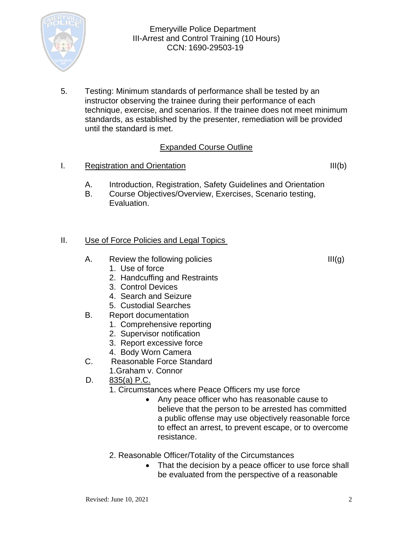

5. Testing: Minimum standards of performance shall be tested by an instructor observing the trainee during their performance of each technique, exercise, and scenarios. If the trainee does not meet minimum standards, as established by the presenter, remediation will be provided until the standard is met.

# Expanded Course Outline

I. Registration and Orientation III(b)

- A. Introduction, Registration, Safety Guidelines and Orientation
- B. Course Objectives/Overview, Exercises, Scenario testing, Evaluation.

### II. Use of Force Policies and Legal Topics

- A. Review the following policies  $III(g)$ 
	- 1. Use of force
	- 2. Handcuffing and Restraints
	- 3. Control Devices
	- 4. Search and Seizure
	- 5. Custodial Searches
- B. Report documentation
	- 1. Comprehensive reporting
	- 2. Supervisor notification
	- 3. Report excessive force
	- 4. Body Worn Camera
- C. Reasonable Force Standard
	- 1.Graham v. Connor
- D. 835(a) P.C.
	- 1. Circumstances where Peace Officers my use force
		- Any peace officer who has reasonable cause to believe that the person to be arrested has committed a public offense may use objectively reasonable force to effect an arrest, to prevent escape, or to overcome resistance.
	- 2. Reasonable Officer/Totality of the Circumstances
		- That the decision by a peace officer to use force shall be evaluated from the perspective of a reasonable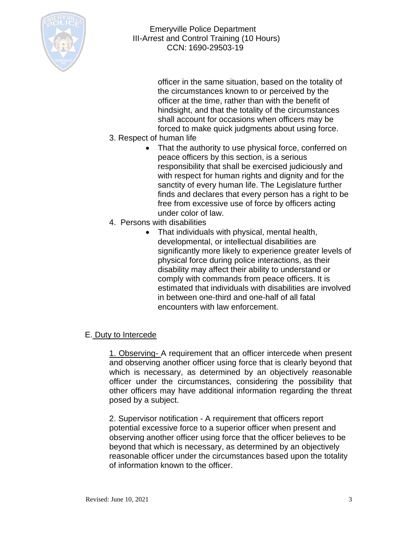

officer in the same situation, based on the totality of the circumstances known to or perceived by the officer at the time, rather than with the benefit of hindsight, and that the totality of the circumstances shall account for occasions when officers may be forced to make quick judgments about using force.

- 3. Respect of human life
	- That the authority to use physical force, conferred on peace officers by this section, is a serious responsibility that shall be exercised judiciously and with respect for human rights and dignity and for the sanctity of every human life. The Legislature further finds and declares that every person has a right to be free from excessive use of force by officers acting under color of law.
- 4. Persons with disabilities
	- That individuals with physical, mental health, developmental, or intellectual disabilities are significantly more likely to experience greater levels of physical force during police interactions, as their disability may affect their ability to understand or comply with commands from peace officers. It is estimated that individuals with disabilities are involved in between one-third and one-half of all fatal encounters with law enforcement.

## E. Duty to Intercede

1. Observing- A requirement that an officer intercede when present and observing another officer using force that is clearly beyond that which is necessary, as determined by an objectively reasonable officer under the circumstances, considering the possibility that other officers may have additional information regarding the threat posed by a subject.

2. Supervisor notification - A requirement that officers report potential excessive force to a superior officer when present and observing another officer using force that the officer believes to be beyond that which is necessary, as determined by an objectively reasonable officer under the circumstances based upon the totality of information known to the officer.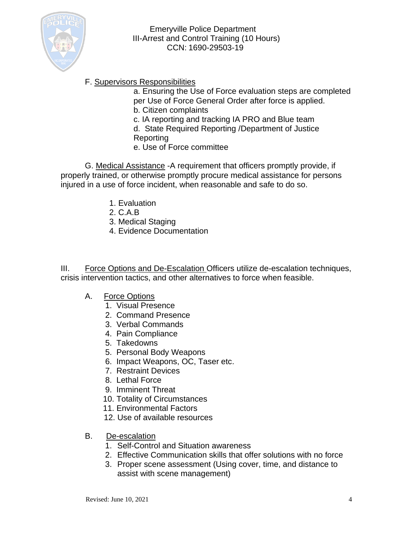

# F. Supervisors Responsibilities

a. Ensuring the Use of Force evaluation steps are completed per Use of Force General Order after force is applied. b. Citizen complaints

- c. IA reporting and tracking IA PRO and Blue team
- d. State Required Reporting /Department of Justice Reporting
- e. Use of Force committee

G. Medical Assistance -A requirement that officers promptly provide, if properly trained, or otherwise promptly procure medical assistance for persons injured in a use of force incident, when reasonable and safe to do so.

- 1. Evaluation
- 2. C.A.B
- 3. Medical Staging
- 4. Evidence Documentation

III. Force Options and De-Escalation Officers utilize de-escalation techniques, crisis intervention tactics, and other alternatives to force when feasible.

- A. Force Options
	- 1. Visual Presence
	- 2. Command Presence
	- 3. Verbal Commands
	- 4. Pain Compliance
	- 5. Takedowns
	- 5. Personal Body Weapons
	- 6. Impact Weapons, OC, Taser etc.
	- 7. Restraint Devices
	- 8. Lethal Force
	- 9. Imminent Threat
	- 10. Totality of Circumstances
	- 11. Environmental Factors
	- 12. Use of available resources
- B. De-escalation
	- 1. Self-Control and Situation awareness
	- 2. Effective Communication skills that offer solutions with no force
	- 3. Proper scene assessment (Using cover, time, and distance to assist with scene management)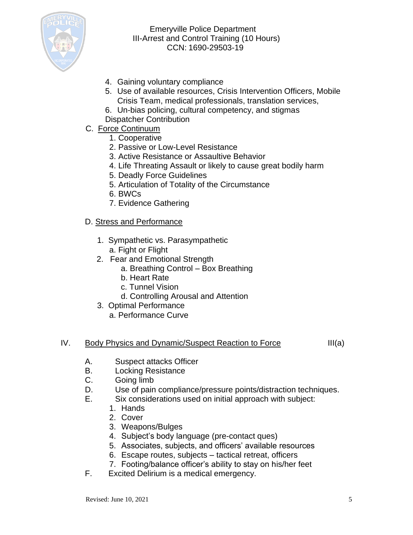

- 4. Gaining voluntary compliance
- 5. Use of available resources, Crisis Intervention Officers, Mobile Crisis Team, medical professionals, translation services,
- 6. Un-bias policing, cultural competency, and stigmas Dispatcher Contribution
- C. Force Continuum
	- 1. Cooperative
	- 2. Passive or Low-Level Resistance
	- 3. Active Resistance or Assaultive Behavior
	- 4. Life Threating Assault or likely to cause great bodily harm
	- 5. Deadly Force Guidelines
	- 5. Articulation of Totality of the Circumstance
	- 6. BWCs
	- 7. Evidence Gathering

### D. Stress and Performance

- 1. Sympathetic vs. Parasympathetic a. Fight or Flight
- 2. Fear and Emotional Strength
	- a. Breathing Control Box Breathing
	- b. Heart Rate
	- c. Tunnel Vision
	- d. Controlling Arousal and Attention
- 3. Optimal Performance
	- a. Performance Curve

#### IV. Body Physics and Dynamic/Suspect Reaction to Force III(a)

- A. Suspect attacks Officer
- B. Locking Resistance
- C. Going limb
- D. Use of pain compliance/pressure points/distraction techniques.
- E. Six considerations used on initial approach with subject:
	- 1. Hands
	- 2. Cover
	- 3. Weapons/Bulges
	- 4. Subject's body language (pre-contact ques)
	- 5. Associates, subjects, and officers' available resources
	- 6. Escape routes, subjects tactical retreat, officers
	- 7. Footing/balance officer's ability to stay on his/her feet
- F. Excited Delirium is a medical emergency.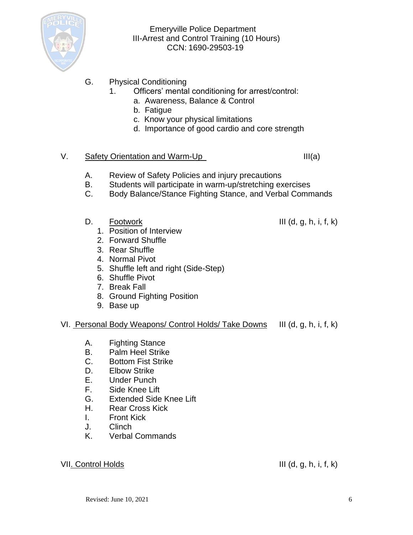

- G. Physical Conditioning
	- 1. Officers' mental conditioning for arrest/control:
		- a. Awareness, Balance & Control
		- b. Fatigue
		- c. Know your physical limitations
		- d. Importance of good cardio and core strength

#### V. Safety Orientation and Warm-Up III(a)

- A. Review of Safety Policies and injury precautions
- B. Students will participate in warm-up/stretching exercises
- C. Body Balance/Stance Fighting Stance, and Verbal Commands
- D. Footwork III (d, g, h, i, f, k)
	- 1. Position of Interview
	- 2. Forward Shuffle
	- 3. Rear Shuffle
	- 4. Normal Pivot
	- 5. Shuffle left and right (Side-Step)
	- 6. Shuffle Pivot
	- 7. Break Fall
	- 8. Ground Fighting Position
	- 9. Base up

#### VI. Personal Body Weapons/ Control Holds/ Take Downs III (d, g, h, i, f, k)

- A. Fighting Stance
- B. Palm Heel Strike
- C. Bottom Fist Strike
- D. Elbow Strike
- E. Under Punch
- F. Side Knee Lift
- G. Extended Side Knee Lift
- H. Rear Cross Kick
- I. Front Kick
- J. Clinch
- K. Verbal Commands

#### VII. Control Holds III (d, g, h, i, f, k)

Revised: June  $10.2021$  6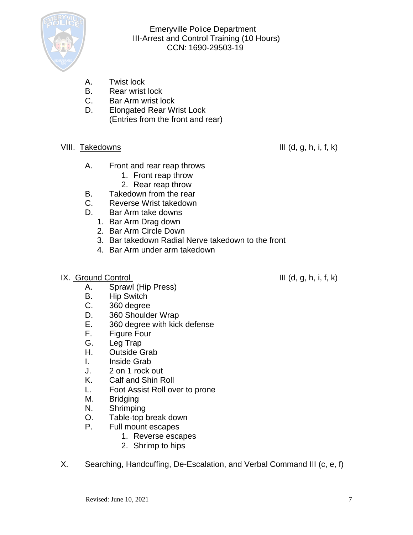

- A. Twist lock
- B. Rear wrist lock
- C. Bar Arm wrist lock
- D. Elongated Rear Wrist Lock (Entries from the front and rear)
- VIII. Takedowns III (d, g, h, i, f, k)

- A. Front and rear reap throws
	- 1. Front reap throw
	- 2. Rear reap throw
- B. Takedown from the rear
- C. Reverse Wrist takedown
- D. Bar Arm take downs
	- 1. Bar Arm Drag down
	- 2. Bar Arm Circle Down
	- 3. Bar takedown Radial Nerve takedown to the front
	- 4. Bar Arm under arm takedown
- $IX.$  Ground Control  $III$  (d, g, h, i, f, k)

- A. Sprawl (Hip Press)
- B. Hip Switch
- C. 360 degree
- D. 360 Shoulder Wrap
- E. 360 degree with kick defense
- F. Figure Four
- G. Leg Trap
- H. Outside Grab
- I. Inside Grab
- J. 2 on 1 rock out
- K. Calf and Shin Roll
- L. Foot Assist Roll over to prone
- M. Bridging
- N. Shrimping
- O. Table-top break down
- P. Full mount escapes
	- 1. Reverse escapes
	- 2. Shrimp to hips
- X. Searching, Handcuffing, De-Escalation, and Verbal Command III (c, e, f)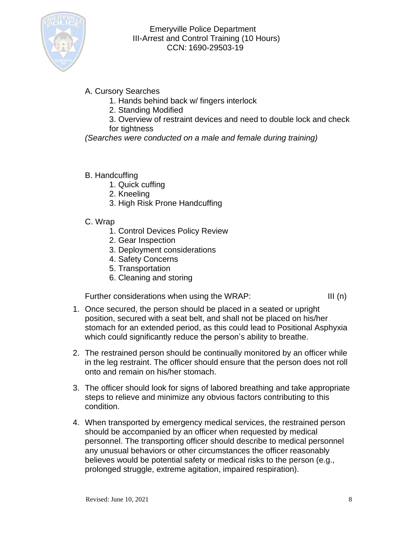

- A. Cursory Searches
	- 1. Hands behind back w/ fingers interlock
	- 2. Standing Modified
	- 3. Overview of restraint devices and need to double lock and check for tightness

*(Searches were conducted on a male and female during training)*

- B. Handcuffing
	- 1. Quick cuffing
	- 2. Kneeling
	- 3. High Risk Prone Handcuffing
- C. Wrap
	- 1. Control Devices Policy Review
	- 2. Gear Inspection
	- 3. Deployment considerations
	- 4. Safety Concerns
	- 5. Transportation
	- 6. Cleaning and storing

Further considerations when using the WRAP: III (n)

- 1. Once secured, the person should be placed in a seated or upright position, secured with a seat belt, and shall not be placed on his/her stomach for an extended period, as this could lead to Positional Asphyxia which could significantly reduce the person's ability to breathe.
- 2. The restrained person should be continually monitored by an officer while in the leg restraint. The officer should ensure that the person does not roll onto and remain on his/her stomach.
- 3. The officer should look for signs of labored breathing and take appropriate steps to relieve and minimize any obvious factors contributing to this condition.
- 4. When transported by emergency medical services, the restrained person should be accompanied by an officer when requested by medical personnel. The transporting officer should describe to medical personnel any unusual behaviors or other circumstances the officer reasonably believes would be potential safety or medical risks to the person (e.g., prolonged struggle, extreme agitation, impaired respiration).